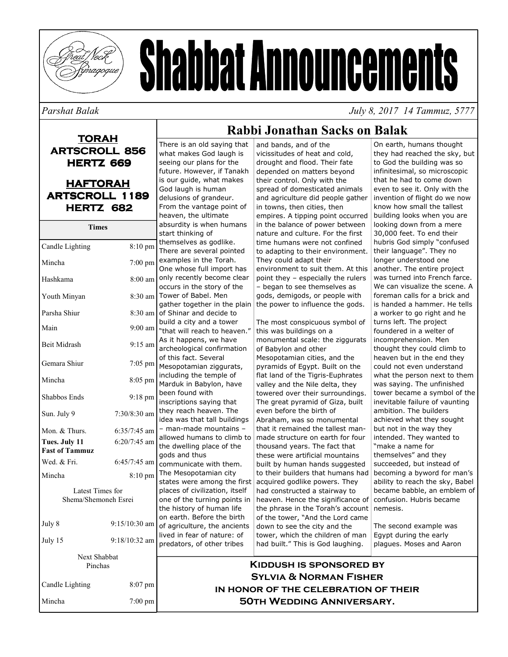

# **Shabbat Announcements**

#### Parshat Balak

July 8, 2017 14 Tammuz, 5777

On earth, humans thought

they had reached the sky, but

#### **TORAH ARTSCROLL 856 HERTZ 669 HAFTORAH ARTSCROLL 1189** HERTZ 682 **Times** Candle Lighting 8:10 pm Mincha  $7:00$  pm Hashkama 8:00 am Youth Minyan Parsha Shiur  $9:00$  am Main **Beit Midrash**  $9:15$  am Gemara Shiur  $7:05$  pm Mincha  $8:05$  pm Shabbos Ends  $9:18$  pm Sun. July 9  $7:30/8:30$  am Mon. & Thurs.  $6:35/7:45$  am Tues. July 11  $6:20/7:45$  am **Fast of Tammuz** Wed. & Fri.  $6:45/7:45$  am

Latest Times for

Shema/Shemoneh Esrei

Next Shabbat

Pinchas

 $8:10~\text{pm}$ 

9:15/10:30 am

 $9:18/10:32$  am

8:07 pm

7:00 pm

Mincha

July 8

July  $15$ 

Mincha

Candle Lighting

seeing our plans for the future. However, if Tanakh is our quide, what makes God laugh is human delusions of grandeur. From the vantage point of heaven, the ultimate absurdity is when humans start thinking of themselves as godlike. There are several pointed examples in the Torah. One whose full import has only recently become clear occurs in the story of the 8:30 am Tower of Babel. Men gather together in the plain  $8:30$  am of Shinar and decide to build a city and a tower "that will reach to heaven." As it happens, we have archeological confirmation of this fact. Several Mesopotamian ziggurats, including the temple of Marduk in Babylon, have been found with inscriptions saying that even before the birth of they reach heaven. The idea was that tall buildings Abraham, was so monumental - man-made mountains that it remained the tallest manallowed humans to climb to made structure on earth for four the dwelling place of the gods and thus communicate with them. The Mesopotamian city states were among the first acquired godlike powers. They places of civilization, itself one of the turning points in heaven. Hence the significance of the history of human life on earth. Before the birth of the tower, "And the Lord came of agriculture, the ancients down to see the city and the lived in fear of nature: of predators, of other tribes

There is an old saying that

what makes God laugh is

## Rabbi Jonathan Sacks on Balak

and bands, and of the vicissitudes of heat and cold, drought and flood. Their fate depended on matters beyond their control. Only with the spread of domesticated animals and agriculture did people gather in towns, then cities, then empires. A tipping point occurred in the balance of power between nature and culture. For the first time humans were not confined to adapting to their environment. They could adapt their environment to suit them. At this point they - especially the rulers - began to see themselves as gods, demigods, or people with the power to influence the gods. The most conspicuous symbol of this was buildings on a monumental scale: the ziggurats of Babylon and other Mesopotamian cities, and the pyramids of Eqypt. Built on the flat land of the Tigris-Euphrates valley and the Nile delta, they towered over their surroundings. The great pyramid of Giza, built

to God the building was so infinitesimal, so microscopic that he had to come down even to see it. Only with the invention of flight do we now know how small the tallest building looks when you are looking down from a mere 30,000 feet. To end their hubris God simply "confused their language". They no longer understood one another. The entire project was turned into French farce. We can visualize the scene. A foreman calls for a brick and is handed a hammer. He tells a worker to go right and he turns left. The project foundered in a welter of incomprehension. Men thought they could climb to heaven but in the end they could not even understand what the person next to them was saying. The unfinished tower became a symbol of the inevitable failure of vaunting ambition. The builders achieved what they sought but not in the way they intended. They wanted to "make a name for themselves" and they succeeded, but instead of becoming a byword for man's ability to reach the sky, Babel became babble, an emblem of confusion. Hubris became nemesis.

The second example was Egypt during the early plagues. Moses and Aaron

## **KIDDUSH IS SPONSORED BY SYLVIA & NORMAN FISHER** IN HONOR OF THE CELEBRATION OF THEIR **50TH WEDDING ANNIVERSARY.**

thousand years. The fact that

these were artificial mountains

had constructed a stairway to

built by human hands suggested

to their builders that humans had

the phrase in the Torah's account

tower, which the children of man

had built." This is God laughing.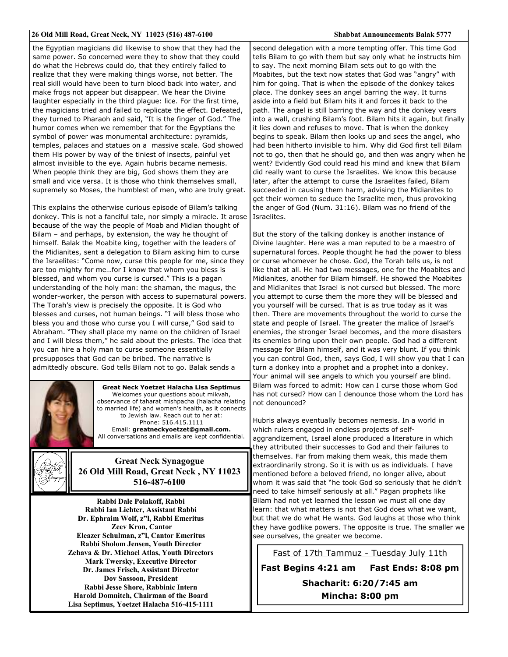#### 26 Old Mill Road, Great Neck, NY 11023 (516) 487-6100

**Shabbat Announcements Balak 5777** 

the Egyptian magicians did likewise to show that they had the same power. So concerned were they to show that they could do what the Hebrews could do, that they entirely failed to realize that they were making things worse, not better. The real skill would have been to turn blood back into water, and make frogs not appear but disappear. We hear the Divine laughter especially in the third plague: lice. For the first time, the magicians tried and failed to replicate the effect. Defeated, they turned to Pharaoh and said, "It is the finger of God." The humor comes when we remember that for the Egyptians the symbol of power was monumental architecture: pyramids, temples, palaces and statues on a massive scale. God showed them His power by way of the tiniest of insects, painful yet almost invisible to the eye. Again hubris became nemesis. When people think they are big, God shows them they are small and vice versa. It is those who think themselves small, supremely so Moses, the humblest of men, who are truly great.

This explains the otherwise curious episode of Bilam's talking donkey. This is not a fanciful tale, nor simply a miracle. It arose because of the way the people of Moab and Midian thought of Bilam - and perhaps, by extension, the way he thought of himself. Balak the Moabite king, together with the leaders of the Midianites, sent a delegation to Bilam asking him to curse the Israelites: "Come now, curse this people for me, since they are too mighty for me...for I know that whom you bless is blessed, and whom you curse is cursed." This is a pagan understanding of the holy man: the shaman, the magus, the wonder-worker, the person with access to supernatural powers. The Torah's view is precisely the opposite. It is God who blesses and curses, not human beings. "I will bless those who bless you and those who curse you I will curse," God said to Abraham. "They shall place my name on the children of Israel and I will bless them," he said about the priests. The idea that you can hire a holy man to curse someone essentially presupposes that God can be bribed. The narrative is admittedly obscure. God tells Bilam not to go. Balak sends a



**Great Neck Yoetzet Halacha Lisa Septimus** Welcomes your questions about mikvah, observance of taharat mishpacha (halacha relating to married life) and women's health, as it connects to Jewish law. Reach out to her at: Phone: 516.415.1111 Email: greatneckyoetzet@gmail.com. All conversations and emails are kept confidential.



**Great Neck Synagogue** 26 Old Mill Road, Great Neck, NY 11023 516-487-6100

Rabbi Dale Polakoff, Rabbi Rabbi Ian Lichter, Assistant Rabbi Dr. Ephraim Wolf, z"l, Rabbi Emeritus **Zeev Kron, Cantor** Eleazer Schulman, z"l, Cantor Emeritus Rabbi Sholom Jensen, Youth Director Zehava & Dr. Michael Atlas, Youth Directors **Mark Twersky, Executive Director** Dr. James Frisch. Assistant Director **Dov Sassoon, President** Rabbi Jesse Shore, Rabbinic Intern Harold Domnitch, Chairman of the Board Lisa Septimus, Yoetzet Halacha 516-415-1111

second delegation with a more tempting offer. This time God tells Bilam to go with them but say only what he instructs him to say. The next morning Bilam sets out to go with the Moabites, but the text now states that God was "angry" with him for going. That is when the episode of the donkey takes place. The donkey sees an angel barring the way. It turns aside into a field but Bilam hits it and forces it back to the path. The angel is still barring the way and the donkey veers into a wall, crushing Bilam's foot. Bilam hits it again, but finally it lies down and refuses to move. That is when the donkey begins to speak. Bilam then looks up and sees the angel, who had been hitherto invisible to him. Why did God first tell Bilam not to go, then that he should go, and then was angry when he went? Evidently God could read his mind and knew that Bilam did really want to curse the Israelites. We know this because later, after the attempt to curse the Israelites failed, Bilam succeeded in causing them harm, advising the Midianites to get their women to seduce the Israelite men, thus provoking the anger of God (Num. 31:16). Bilam was no friend of the Israelites.

But the story of the talking donkey is another instance of Divine laughter. Here was a man reputed to be a maestro of supernatural forces. People thought he had the power to bless or curse whomever he chose. God, the Torah tells us, is not like that at all. He had two messages, one for the Moabites and Midianites, another for Bilam himself. He showed the Moabites and Midianites that Israel is not cursed but blessed. The more you attempt to curse them the more they will be blessed and you yourself will be cursed. That is as true today as it was then. There are movements throughout the world to curse the state and people of Israel. The greater the malice of Israel's enemies, the stronger Israel becomes, and the more disasters its enemies bring upon their own people. God had a different message for Bilam himself, and it was very blunt. If you think you can control God, then, says God, I will show you that I can turn a donkey into a prophet and a prophet into a donkey. Your animal will see angels to which you yourself are blind. Bilam was forced to admit: How can I curse those whom God has not cursed? How can I denounce those whom the Lord has not denounced?

Hubris always eventually becomes nemesis. In a world in which rulers engaged in endless projects of selfaggrandizement, Israel alone produced a literature in which they attributed their successes to God and their failures to themselves. Far from making them weak, this made them extraordinarily strong. So it is with us as individuals. I have mentioned before a beloved friend, no longer alive, about whom it was said that "he took God so seriously that he didn't need to take himself seriously at all." Pagan prophets like Bilam had not yet learned the lesson we must all one day learn: that what matters is not that God does what we want, but that we do what He wants. God laughs at those who think they have godlike powers. The opposite is true. The smaller we see ourselves, the greater we become.

Fast of 17th Tammuz - Tuesday July 11th

Fast Begins 4:21 am Fast Ends: 8:08 pm Shacharit: 6:20/7:45 am Mincha: 8:00 pm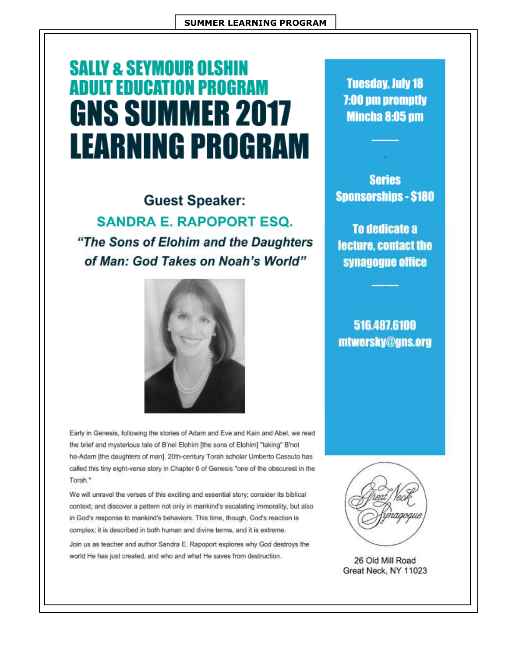# **SALLY & SEYMOUR OLSHIN ADULT EDUCATION PROGRAM GNS SUMMER 2017 LEARNING PROGRAM**

**Guest Speaker: SANDRA E. RAPOPORT ESQ.** "The Sons of Elohim and the Daughters of Man: God Takes on Noah's World"



Early in Genesis, following the stories of Adam and Eve and Kain and Abel, we read the brief and mysterious tale of B'nei Elohim [the sons of Elohim] "taking" B'not ha-Adam [the daughters of man]. 20th-century Torah scholar Umberto Cassuto has called this tiny eight-verse story in Chapter 6 of Genesis "one of the obscurest in the Torah."

We will unravel the verses of this exciting and essential story; consider its biblical context; and discover a pattern not only in mankind's escalating immorality, but also in God's response to mankind's behaviors. This time, though, God's reaction is complex; it is described in both human and divine terms, and it is extreme.

Join us as teacher and author Sandra E. Rapoport explores why God destroys the world He has just created, and who and what He saves from destruction.

**Tuesday, July 18** 7:00 pm promptly **Mincha 8:05 pm** 

**Series Sponsorships - \$180** 

To dedicate a lecture, contact the synagogue office

516.487.6100 mtwersky@gns.org



26 Old Mill Road Great Neck, NY 11023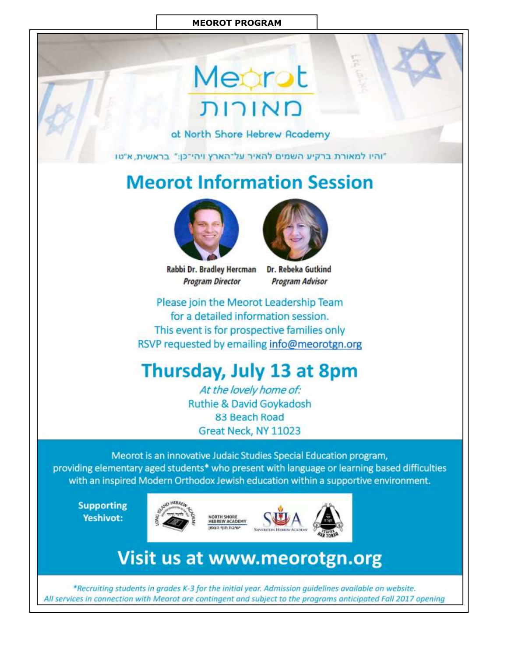### **MEOROT PROGRAM**

# Mearot מאורות

at North Shore Hebrew Academy

"והיו למאורת ברקיע השמים להאיר על־הארץ ויהי־כן:" בראשית, א"טו

## **Meorot Information Session**



Rabbi Dr. Bradley Hercman **Program Director** 



Dr. Rebeka Gutkind **Program Advisor** 

Please join the Meorot Leadership Team for a detailed information session. This event is for prospective families only RSVP requested by emailing info@meorotgn.org

## Thursday, July 13 at 8pm

At the lovely home of: **Ruthie & David Goykadosh** 83 Beach Road Great Neck, NY 11023

Meorot is an innovative Judaic Studies Special Education program, providing elementary aged students\* who present with language or learning based difficulties with an inspired Modern Orthodox Jewish education within a supportive environment.

**Supporting** Yeshivot:





# **Visit us at www.meorotgn.org**

\*Recruiting students in grades K-3 for the initial year. Admission guidelines available on website. All services in connection with Meorot are contingent and subject to the programs anticipated Fall 2017 opening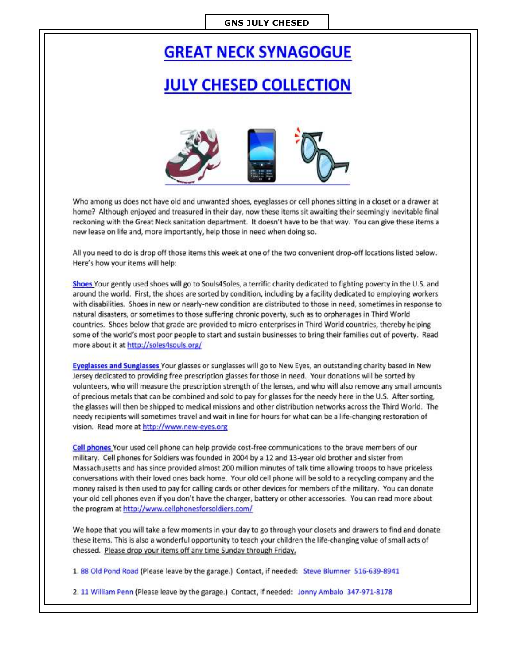#### **GNS JULY CHESED**

## **GREAT NECK SYNAGOGUE**

## **JULY CHESED COLLECTION**



Who among us does not have old and unwanted shoes, eyeglasses or cell phones sitting in a closet or a drawer at home? Although enjoyed and treasured in their day, now these items sit awaiting their seemingly inevitable final reckoning with the Great Neck sanitation department. It doesn't have to be that way. You can give these items a new lease on life and, more importantly, help those in need when doing so.

All you need to do is drop off those items this week at one of the two convenient drop-off locations listed below. Here's how your items will help:

Shoes Your gently used shoes will go to Souls4Soles, a terrific charity dedicated to fighting poverty in the U.S. and around the world. First, the shoes are sorted by condition, including by a facility dedicated to employing workers with disabilities. Shoes in new or nearly-new condition are distributed to those in need, sometimes in response to natural disasters, or sometimes to those suffering chronic poverty, such as to orphanages in Third World countries. Shoes below that grade are provided to micro-enterprises in Third World countries, thereby helping some of the world's most poor people to start and sustain businesses to bring their families out of poverty. Read more about it at http://soles4souls.org/

Eyeglasses and Sunglasses Your glasses or sunglasses will go to New Eyes, an outstanding charity based in New Jersey dedicated to providing free prescription glasses for those in need. Your donations will be sorted by volunteers, who will measure the prescription strength of the lenses, and who will also remove any small amounts of precious metals that can be combined and sold to pay for glasses for the needy here in the U.S. After sorting, the glasses will then be shipped to medical missions and other distribution networks across the Third World. The needy recipients will sometimes travel and wait in line for hours for what can be a life-changing restoration of vision. Read more at http://www.new-eyes.org

Cell phones Your used cell phone can help provide cost-free communications to the brave members of our military. Cell phones for Soldiers was founded in 2004 by a 12 and 13-year old brother and sister from Massachusetts and has since provided almost 200 million minutes of talk time allowing troops to have priceless conversations with their loved ones back home. Your old cell phone will be sold to a recycling company and the money raised is then used to pay for calling cards or other devices for members of the military. You can donate your old cell phones even if you don't have the charger, battery or other accessories. You can read more about the program at http://www.cellphonesforsoldiers.com/

We hope that you will take a few moments in your day to go through your closets and drawers to find and donate these items. This is also a wonderful opportunity to teach your children the life-changing value of small acts of chessed. Please drop your items off any time Sunday through Friday.

1.88 Old Pond Road (Please leave by the garage.) Contact, if needed: Steve Blumner 516-639-8941

2. 11 William Penn (Please leave by the garage.) Contact, if needed: Jonny Ambalo 347-971-8178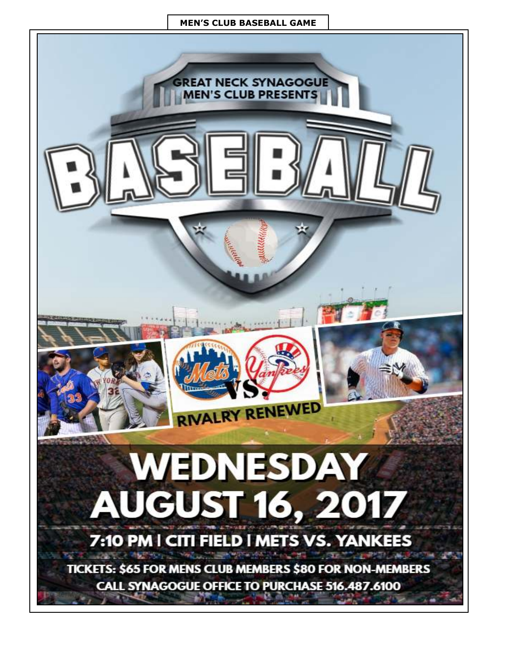### **MEN'S CLUB BASEBALL GAME**

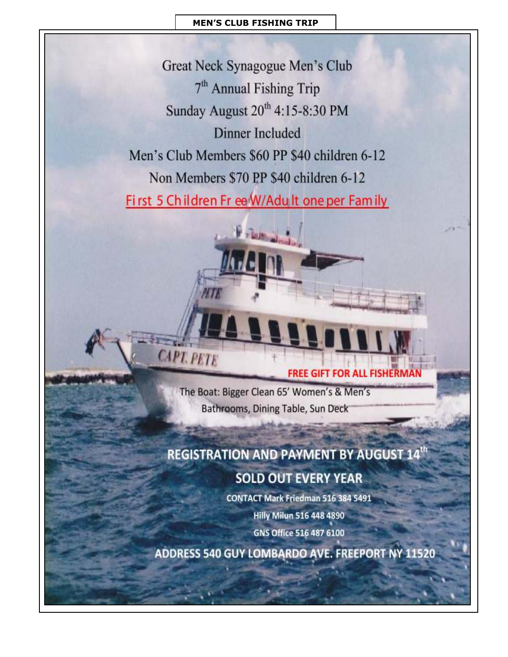## **MEN'S CLUB FISHING TRIP**

Great Neck Synagogue Men's Club 7<sup>th</sup> Annual Fishing Trip Sunday August 20<sup>th</sup> 4:15-8:30 PM **Dinner Included** Men's Club Members \$60 PP \$40 children 6-12 Non Members \$70 PP \$40 children 6-12

First 5 Children Fr ee W/Adult one per Family

**FREE GIFT FOR ALL FISHERMAN** 

The Boat: Bigger Clean 65' Women's & Men's Bathrooms, Dining Table, Sun Deck

**CAPT. PETE** 

## **REGISTRATION AND PAYMENT BY AUGUST 14th SOLD OUT EVERY YEAR**

**CONTACT Mark Friedman 516 384 5491** 

**Hilly Milun 516 448 4890** 

GNS Office 516 487 6100

ADDRESS 540 GUY LOMBARDO AVE. FREEPORT NY 11520